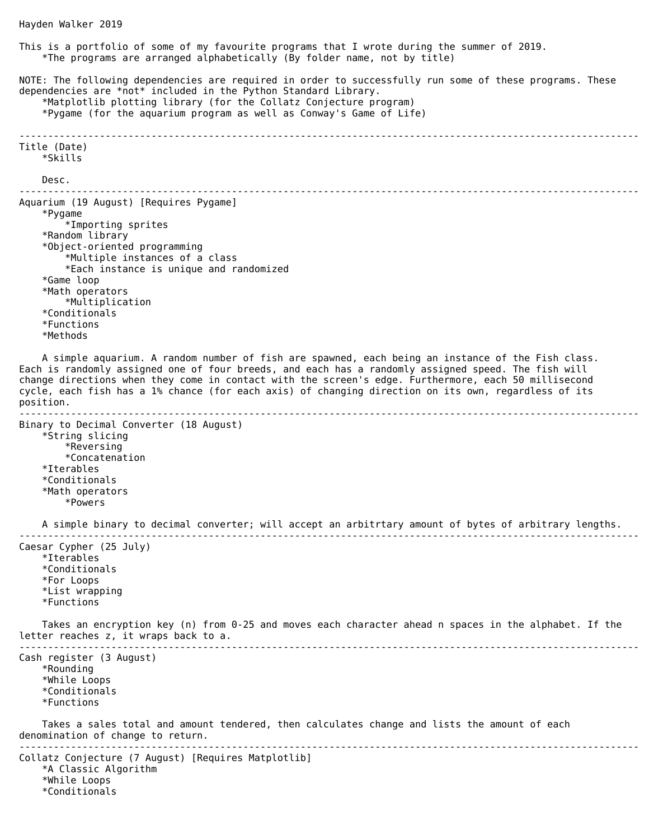```
This is a portfolio of some of my favourite programs that I wrote during the summer of 2019.
     *The programs are arranged alphabetically (By folder name, not by title)
NOTE: The following dependencies are required in order to successfully run some of these programs. These 
dependencies are *not* included in the Python Standard Library.
     *Matplotlib plotting library (for the Collatz Conjecture program)
     *Pygame (for the aquarium program as well as Conway's Game of Life)
------------------------------------------------------------------------------------------------------------
Title (Date)
     *Skills
     Desc.
------------------------------------------------------------------------------------------------------------
Aquarium (19 August) [Requires Pygame]
     *Pygame
         *Importing sprites
     *Random library
     *Object-oriented programming
         *Multiple instances of a class
         *Each instance is unique and randomized
     *Game loop
     *Math operators
         *Multiplication
     *Conditionals
     *Functions
     *Methods
     A simple aquarium. A random number of fish are spawned, each being an instance of the Fish class. 
Each is randomly assigned one of four breeds, and each has a randomly assigned speed. The fish will 
change directions when they come in contact with the screen's edge. Furthermore, each 50 millisecond 
cycle, each fish has a 1% chance (for each axis) of changing direction on its own, regardless of its 
position.
------------------------------------------------------------------------------------------------------------
Binary to Decimal Converter (18 August)
     *String slicing
         *Reversing
         *Concatenation
     *Iterables
     *Conditionals
     *Math operators
         *Powers
     A simple binary to decimal converter; will accept an arbitrtary amount of bytes of arbitrary lengths.
------------------------------------------------------------------------------------------------------------
Caesar Cypher (25 July)
     *Iterables
     *Conditionals
     *For Loops 
     *List wrapping
     *Functions
     Takes an encryption key (n) from 0-25 and moves each character ahead n spaces in the alphabet. If the 
letter reaches z, it wraps back to a.
------------------------------------------------------------------------------------------------------------
Cash register (3 August)
     *Rounding
     *While Loops
     *Conditionals
     *Functions
     Takes a sales total and amount tendered, then calculates change and lists the amount of each 
denomination of change to return.
------------------------------------------------------------------------------------------------------------
Collatz Conjecture (7 August) [Requires Matplotlib]
     *A Classic Algorithm
     *While Loops
     *Conditionals
```
Hayden Walker 2019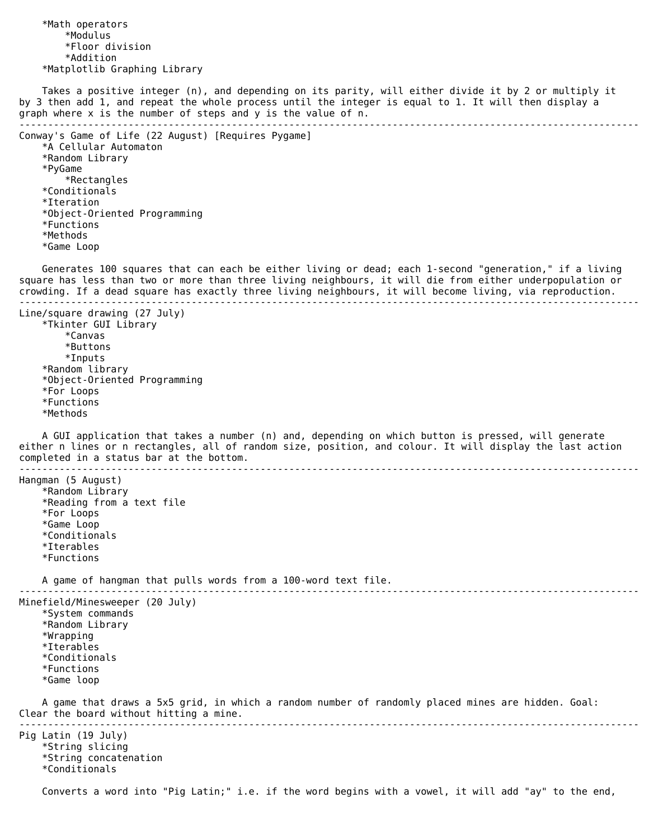```
 *Math operators
         *Modulus
         *Floor division
         *Addition
     *Matplotlib Graphing Library
     Takes a positive integer (n), and depending on its parity, will either divide it by 2 or multiply it 
by 3 then add 1, and repeat the whole process until the integer is equal to 1. It will then display a 
graph where x is the number of steps and y is the value of n.
------------------------------------------------------------------------------------------------------------
Conway's Game of Life (22 August) [Requires Pygame]
     *A Cellular Automaton
     *Random Library
     *PyGame
         *Rectangles
     *Conditionals
     *Iteration
     *Object-Oriented Programming
     *Functions
     *Methods
     *Game Loop
     Generates 100 squares that can each be either living or dead; each 1-second "generation," if a living 
square has less than two or more than three living neighbours, it will die from either underpopulation or 
crowding. If a dead square has exactly three living neighbours, it will become living, via reproduction.
------------------------------------------------------------------------------------------------------------
Line/square drawing (27 July)
     *Tkinter GUI Library
         *Canvas
         *Buttons
         *Inputs
     *Random library
     *Object-Oriented Programming
     *For Loops
     *Functions
     *Methods
     A GUI application that takes a number (n) and, depending on which button is pressed, will generate 
either n lines or n rectangles, all of random size, position, and colour. It will display the last action 
completed in a status bar at the bottom.
------------------------------------------------------------------------------------------------------------
Hangman (5 August)
     *Random Library
     *Reading from a text file
     *For Loops
     *Game Loop
     *Conditionals
     *Iterables
     *Functions
     A game of hangman that pulls words from a 100-word text file.
------------------------------------------------------------------------------------------------------------
Minefield/Minesweeper (20 July)
     *System commands
     *Random Library
     *Wrapping
     *Iterables
     *Conditionals
     *Functions
     *Game loop
     A game that draws a 5x5 grid, in which a random number of randomly placed mines are hidden. Goal: 
Clear the board without hitting a mine.
------------------------------------------------------------------------------------------------------------
Pig Latin (19 July)
     *String slicing
     *String concatenation
     *Conditionals
     Converts a word into "Pig Latin;" i.e. if the word begins with a vowel, it will add "ay" to the end,
```